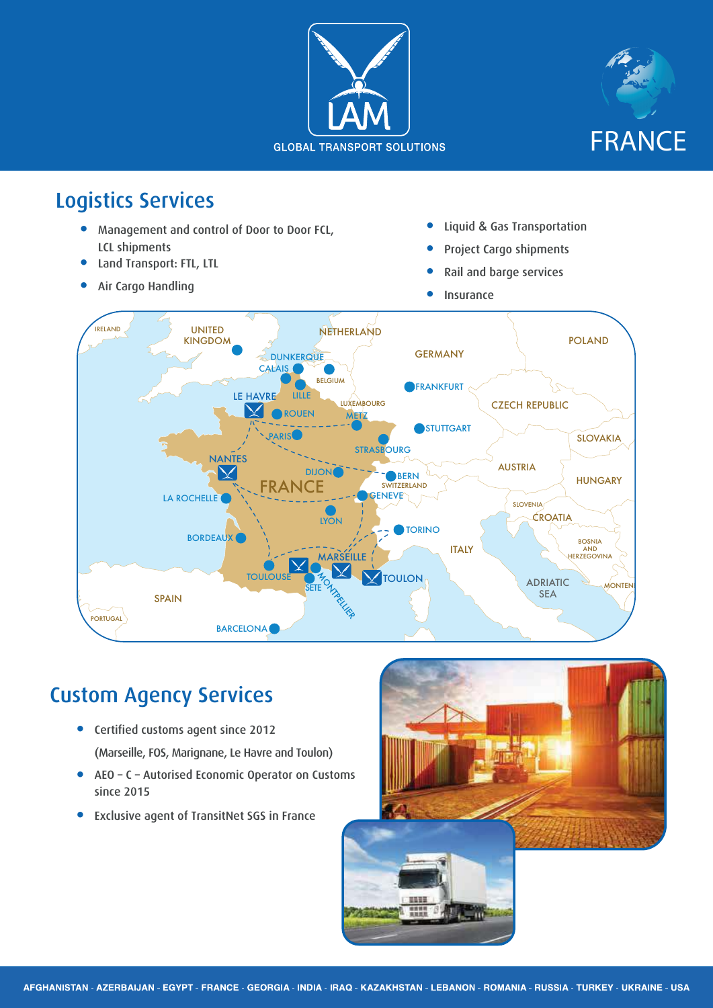



## Logistics Services

- **Management and control of Door to Door FCL,** LCL shipments
- Land Transport: FTL, LTL
- Air Cargo Handling
- **•** Liquid & Gas Transportation
- Project Cargo shipments
- Rail and barge services
- **Insurance**



## Custom Agency Services

- **•** Certified customs agent since 2012 (Marseille, FOS, Marignane, Le Havre and Toulon)
- AEO C Autorised Economic Operator on Customs since 2015
- **•** Exclusive agent of TransitNet SGS in France